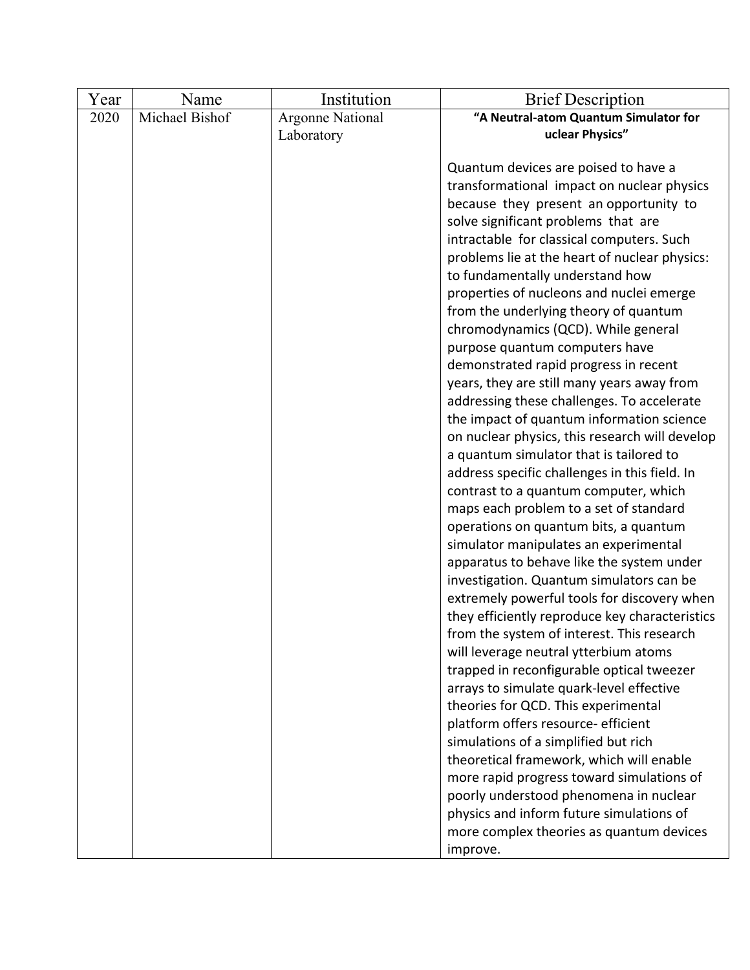| Year | Name           | Institution                           | <b>Brief Description</b>                                                                                                                                                                                                                                                                                                                                                                                                                                                                                                                                                                                                                                                                                                                                                                                                                                                                                                                                                                                                                                                                                                                                                                                                                                                                                                                                                                                                        |
|------|----------------|---------------------------------------|---------------------------------------------------------------------------------------------------------------------------------------------------------------------------------------------------------------------------------------------------------------------------------------------------------------------------------------------------------------------------------------------------------------------------------------------------------------------------------------------------------------------------------------------------------------------------------------------------------------------------------------------------------------------------------------------------------------------------------------------------------------------------------------------------------------------------------------------------------------------------------------------------------------------------------------------------------------------------------------------------------------------------------------------------------------------------------------------------------------------------------------------------------------------------------------------------------------------------------------------------------------------------------------------------------------------------------------------------------------------------------------------------------------------------------|
| 2020 | Michael Bishof | <b>Argonne National</b><br>Laboratory | "A Neutral-atom Quantum Simulator for<br>uclear Physics"                                                                                                                                                                                                                                                                                                                                                                                                                                                                                                                                                                                                                                                                                                                                                                                                                                                                                                                                                                                                                                                                                                                                                                                                                                                                                                                                                                        |
|      |                |                                       | Quantum devices are poised to have a<br>transformational impact on nuclear physics<br>because they present an opportunity to<br>solve significant problems that are<br>intractable for classical computers. Such<br>problems lie at the heart of nuclear physics:<br>to fundamentally understand how<br>properties of nucleons and nuclei emerge<br>from the underlying theory of quantum<br>chromodynamics (QCD). While general<br>purpose quantum computers have<br>demonstrated rapid progress in recent<br>years, they are still many years away from<br>addressing these challenges. To accelerate<br>the impact of quantum information science<br>on nuclear physics, this research will develop<br>a quantum simulator that is tailored to<br>address specific challenges in this field. In<br>contrast to a quantum computer, which<br>maps each problem to a set of standard<br>operations on quantum bits, a quantum<br>simulator manipulates an experimental<br>apparatus to behave like the system under<br>investigation. Quantum simulators can be<br>extremely powerful tools for discovery when<br>they efficiently reproduce key characteristics<br>from the system of interest. This research<br>will leverage neutral ytterbium atoms<br>trapped in reconfigurable optical tweezer<br>arrays to simulate quark-level effective<br>theories for QCD. This experimental<br>platform offers resource- efficient |
|      |                |                                       | simulations of a simplified but rich<br>theoretical framework, which will enable<br>more rapid progress toward simulations of                                                                                                                                                                                                                                                                                                                                                                                                                                                                                                                                                                                                                                                                                                                                                                                                                                                                                                                                                                                                                                                                                                                                                                                                                                                                                                   |
|      |                |                                       | poorly understood phenomena in nuclear<br>physics and inform future simulations of<br>more complex theories as quantum devices                                                                                                                                                                                                                                                                                                                                                                                                                                                                                                                                                                                                                                                                                                                                                                                                                                                                                                                                                                                                                                                                                                                                                                                                                                                                                                  |
|      |                |                                       | improve.                                                                                                                                                                                                                                                                                                                                                                                                                                                                                                                                                                                                                                                                                                                                                                                                                                                                                                                                                                                                                                                                                                                                                                                                                                                                                                                                                                                                                        |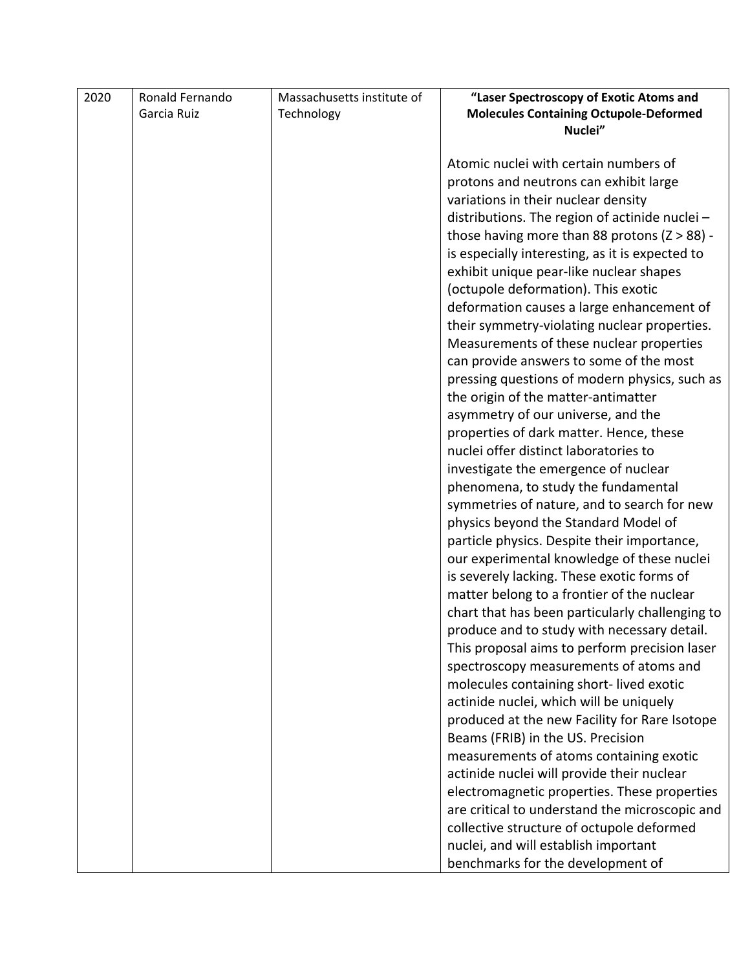| 2020 | Ronald Fernando | Massachusetts institute of | "Laser Spectroscopy of Exotic Atoms and         |
|------|-----------------|----------------------------|-------------------------------------------------|
|      | Garcia Ruiz     | Technology                 | <b>Molecules Containing Octupole-Deformed</b>   |
|      |                 |                            | Nuclei"                                         |
|      |                 |                            |                                                 |
|      |                 |                            | Atomic nuclei with certain numbers of           |
|      |                 |                            | protons and neutrons can exhibit large          |
|      |                 |                            | variations in their nuclear density             |
|      |                 |                            | distributions. The region of actinide nuclei -  |
|      |                 |                            | those having more than 88 protons $(Z > 88)$ -  |
|      |                 |                            | is especially interesting, as it is expected to |
|      |                 |                            | exhibit unique pear-like nuclear shapes         |
|      |                 |                            | (octupole deformation). This exotic             |
|      |                 |                            | deformation causes a large enhancement of       |
|      |                 |                            | their symmetry-violating nuclear properties.    |
|      |                 |                            | Measurements of these nuclear properties        |
|      |                 |                            | can provide answers to some of the most         |
|      |                 |                            | pressing questions of modern physics, such as   |
|      |                 |                            | the origin of the matter-antimatter             |
|      |                 |                            | asymmetry of our universe, and the              |
|      |                 |                            | properties of dark matter. Hence, these         |
|      |                 |                            | nuclei offer distinct laboratories to           |
|      |                 |                            |                                                 |
|      |                 |                            | investigate the emergence of nuclear            |
|      |                 |                            | phenomena, to study the fundamental             |
|      |                 |                            | symmetries of nature, and to search for new     |
|      |                 |                            | physics beyond the Standard Model of            |
|      |                 |                            | particle physics. Despite their importance,     |
|      |                 |                            | our experimental knowledge of these nuclei      |
|      |                 |                            | is severely lacking. These exotic forms of      |
|      |                 |                            | matter belong to a frontier of the nuclear      |
|      |                 |                            | chart that has been particularly challenging to |
|      |                 |                            | produce and to study with necessary detail.     |
|      |                 |                            | This proposal aims to perform precision laser   |
|      |                 |                            | spectroscopy measurements of atoms and          |
|      |                 |                            | molecules containing short-lived exotic         |
|      |                 |                            | actinide nuclei, which will be uniquely         |
|      |                 |                            | produced at the new Facility for Rare Isotope   |
|      |                 |                            | Beams (FRIB) in the US. Precision               |
|      |                 |                            | measurements of atoms containing exotic         |
|      |                 |                            | actinide nuclei will provide their nuclear      |
|      |                 |                            | electromagnetic properties. These properties    |
|      |                 |                            | are critical to understand the microscopic and  |
|      |                 |                            | collective structure of octupole deformed       |
|      |                 |                            | nuclei, and will establish important            |
|      |                 |                            | benchmarks for the development of               |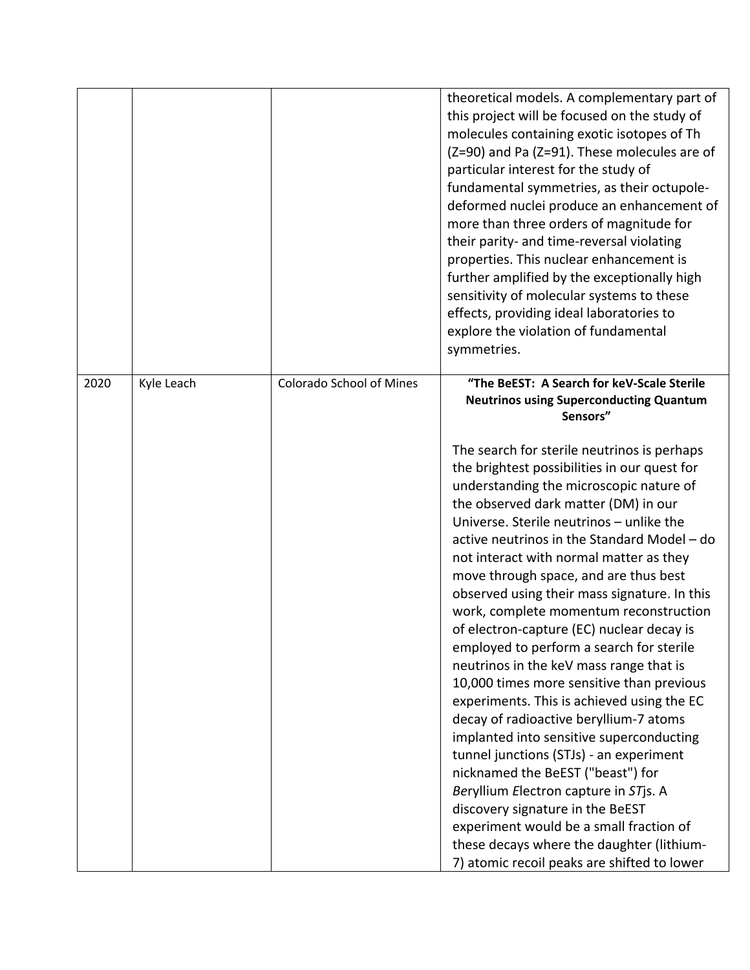|      |            |                                 | theoretical models. A complementary part of<br>this project will be focused on the study of<br>molecules containing exotic isotopes of Th<br>(Z=90) and Pa (Z=91). These molecules are of<br>particular interest for the study of<br>fundamental symmetries, as their octupole-<br>deformed nuclei produce an enhancement of<br>more than three orders of magnitude for<br>their parity- and time-reversal violating<br>properties. This nuclear enhancement is<br>further amplified by the exceptionally high<br>sensitivity of molecular systems to these<br>effects, providing ideal laboratories to<br>explore the violation of fundamental<br>symmetries.                                                                                                                                                                                                                                                                                                                                                    |
|------|------------|---------------------------------|-------------------------------------------------------------------------------------------------------------------------------------------------------------------------------------------------------------------------------------------------------------------------------------------------------------------------------------------------------------------------------------------------------------------------------------------------------------------------------------------------------------------------------------------------------------------------------------------------------------------------------------------------------------------------------------------------------------------------------------------------------------------------------------------------------------------------------------------------------------------------------------------------------------------------------------------------------------------------------------------------------------------|
| 2020 | Kyle Leach | <b>Colorado School of Mines</b> | "The BeEST: A Search for keV-Scale Sterile<br><b>Neutrinos using Superconducting Quantum</b><br>Sensors"<br>The search for sterile neutrinos is perhaps<br>the brightest possibilities in our quest for<br>understanding the microscopic nature of<br>the observed dark matter (DM) in our<br>Universe. Sterile neutrinos - unlike the<br>active neutrinos in the Standard Model - do<br>not interact with normal matter as they<br>move through space, and are thus best<br>observed using their mass signature. In this<br>work, complete momentum reconstruction<br>of electron-capture (EC) nuclear decay is<br>employed to perform a search for sterile<br>neutrinos in the keV mass range that is<br>10,000 times more sensitive than previous<br>experiments. This is achieved using the EC<br>decay of radioactive beryllium-7 atoms<br>implanted into sensitive superconducting<br>tunnel junctions (STJs) - an experiment<br>nicknamed the BeEST ("beast") for<br>Beryllium Electron capture in STjs. A |
|      |            |                                 | discovery signature in the BeEST<br>experiment would be a small fraction of<br>these decays where the daughter (lithium-<br>7) atomic recoil peaks are shifted to lower                                                                                                                                                                                                                                                                                                                                                                                                                                                                                                                                                                                                                                                                                                                                                                                                                                           |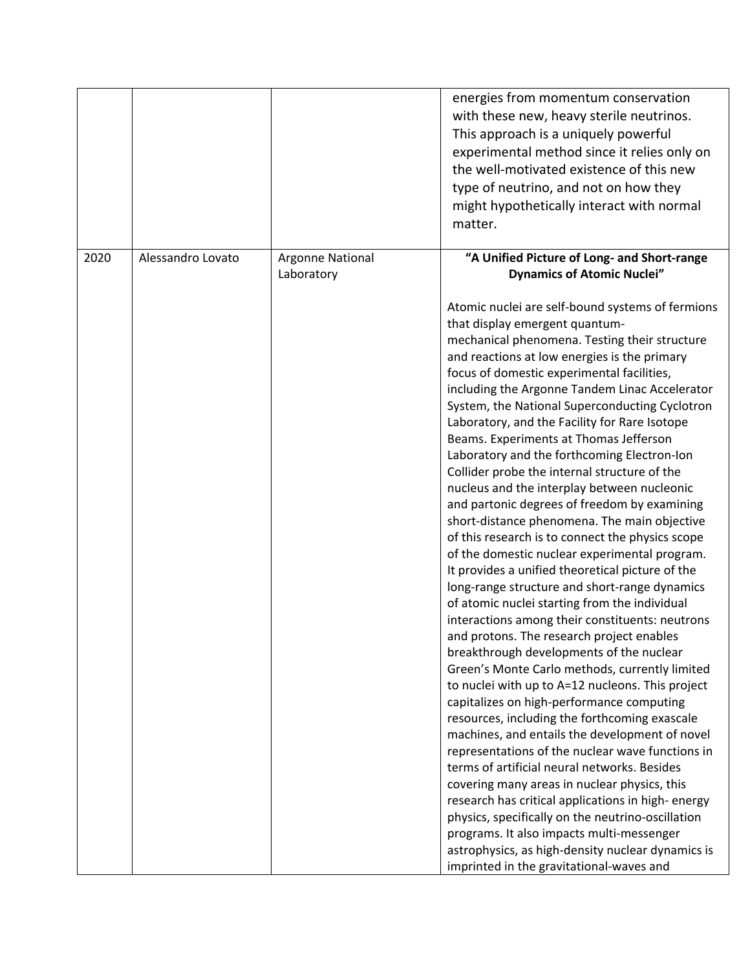|      |                   |                                | energies from momentum conservation<br>with these new, heavy sterile neutrinos.<br>This approach is a uniquely powerful<br>experimental method since it relies only on<br>the well-motivated existence of this new<br>type of neutrino, and not on how they<br>might hypothetically interact with normal<br>matter.                                                                                                                                                                                                                                                                                                                                                                                                                                                                                                                                                                                                                                                                                                                                                                                                                                                                                                                                                                                                                                                                                                                                                                                                                                                                                                                                                                                                                                                                                                                         |
|------|-------------------|--------------------------------|---------------------------------------------------------------------------------------------------------------------------------------------------------------------------------------------------------------------------------------------------------------------------------------------------------------------------------------------------------------------------------------------------------------------------------------------------------------------------------------------------------------------------------------------------------------------------------------------------------------------------------------------------------------------------------------------------------------------------------------------------------------------------------------------------------------------------------------------------------------------------------------------------------------------------------------------------------------------------------------------------------------------------------------------------------------------------------------------------------------------------------------------------------------------------------------------------------------------------------------------------------------------------------------------------------------------------------------------------------------------------------------------------------------------------------------------------------------------------------------------------------------------------------------------------------------------------------------------------------------------------------------------------------------------------------------------------------------------------------------------------------------------------------------------------------------------------------------------|
| 2020 | Alessandro Lovato | Argonne National<br>Laboratory | "A Unified Picture of Long- and Short-range<br><b>Dynamics of Atomic Nuclei"</b><br>Atomic nuclei are self-bound systems of fermions<br>that display emergent quantum-<br>mechanical phenomena. Testing their structure<br>and reactions at low energies is the primary<br>focus of domestic experimental facilities,<br>including the Argonne Tandem Linac Accelerator<br>System, the National Superconducting Cyclotron<br>Laboratory, and the Facility for Rare Isotope<br>Beams. Experiments at Thomas Jefferson<br>Laboratory and the forthcoming Electron-Ion<br>Collider probe the internal structure of the<br>nucleus and the interplay between nucleonic<br>and partonic degrees of freedom by examining<br>short-distance phenomena. The main objective<br>of this research is to connect the physics scope<br>of the domestic nuclear experimental program.<br>It provides a unified theoretical picture of the<br>long-range structure and short-range dynamics<br>of atomic nuclei starting from the individual<br>interactions among their constituents: neutrons<br>and protons. The research project enables<br>breakthrough developments of the nuclear<br>Green's Monte Carlo methods, currently limited<br>to nuclei with up to A=12 nucleons. This project<br>capitalizes on high-performance computing<br>resources, including the forthcoming exascale<br>machines, and entails the development of novel<br>representations of the nuclear wave functions in<br>terms of artificial neural networks. Besides<br>covering many areas in nuclear physics, this<br>research has critical applications in high-energy<br>physics, specifically on the neutrino-oscillation<br>programs. It also impacts multi-messenger<br>astrophysics, as high-density nuclear dynamics is<br>imprinted in the gravitational-waves and |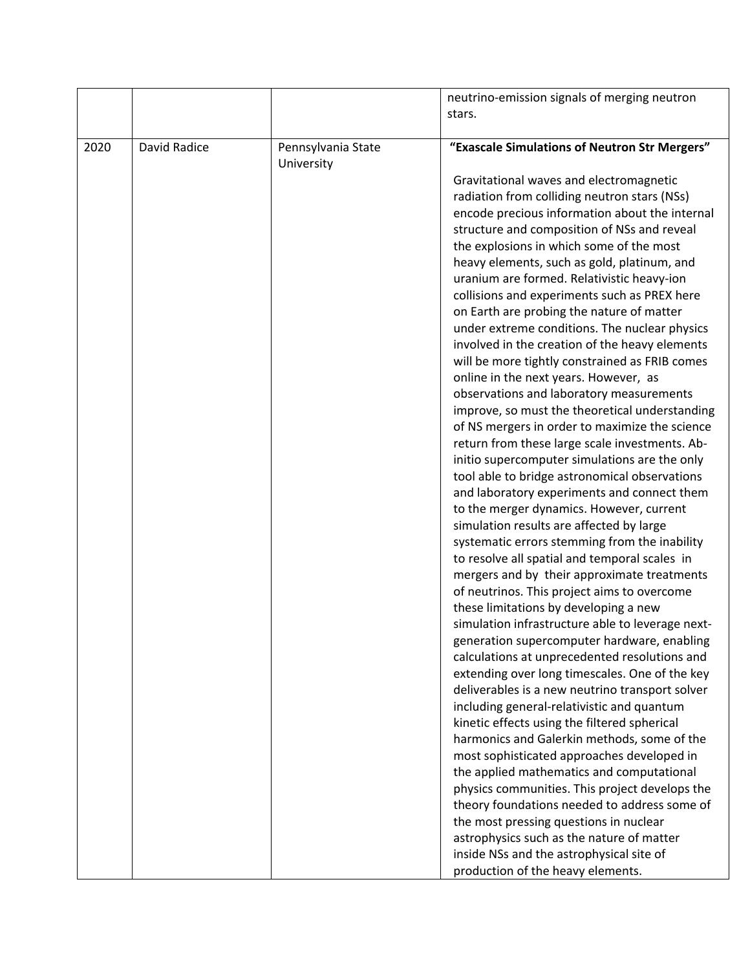|      |              |                    | neutrino-emission signals of merging neutron                                         |
|------|--------------|--------------------|--------------------------------------------------------------------------------------|
|      |              |                    | stars.                                                                               |
|      |              |                    |                                                                                      |
| 2020 | David Radice | Pennsylvania State | "Exascale Simulations of Neutron Str Mergers"                                        |
|      |              | University         |                                                                                      |
|      |              |                    | Gravitational waves and electromagnetic                                              |
|      |              |                    | radiation from colliding neutron stars (NSs)                                         |
|      |              |                    | encode precious information about the internal                                       |
|      |              |                    | structure and composition of NSs and reveal                                          |
|      |              |                    | the explosions in which some of the most                                             |
|      |              |                    | heavy elements, such as gold, platinum, and                                          |
|      |              |                    | uranium are formed. Relativistic heavy-ion                                           |
|      |              |                    | collisions and experiments such as PREX here                                         |
|      |              |                    | on Earth are probing the nature of matter                                            |
|      |              |                    | under extreme conditions. The nuclear physics                                        |
|      |              |                    | involved in the creation of the heavy elements                                       |
|      |              |                    | will be more tightly constrained as FRIB comes                                       |
|      |              |                    | online in the next years. However, as                                                |
|      |              |                    | observations and laboratory measurements                                             |
|      |              |                    | improve, so must the theoretical understanding                                       |
|      |              |                    | of NS mergers in order to maximize the science                                       |
|      |              |                    | return from these large scale investments. Ab-                                       |
|      |              |                    | initio supercomputer simulations are the only                                        |
|      |              |                    | tool able to bridge astronomical observations                                        |
|      |              |                    | and laboratory experiments and connect them                                          |
|      |              |                    | to the merger dynamics. However, current<br>simulation results are affected by large |
|      |              |                    | systematic errors stemming from the inability                                        |
|      |              |                    | to resolve all spatial and temporal scales in                                        |
|      |              |                    | mergers and by their approximate treatments                                          |
|      |              |                    | of neutrinos. This project aims to overcome                                          |
|      |              |                    | these limitations by developing a new                                                |
|      |              |                    | simulation infrastructure able to leverage next-                                     |
|      |              |                    | generation supercomputer hardware, enabling                                          |
|      |              |                    | calculations at unprecedented resolutions and                                        |
|      |              |                    | extending over long timescales. One of the key                                       |
|      |              |                    | deliverables is a new neutrino transport solver                                      |
|      |              |                    | including general-relativistic and quantum                                           |
|      |              |                    | kinetic effects using the filtered spherical                                         |
|      |              |                    | harmonics and Galerkin methods, some of the                                          |
|      |              |                    | most sophisticated approaches developed in                                           |
|      |              |                    | the applied mathematics and computational                                            |
|      |              |                    | physics communities. This project develops the                                       |
|      |              |                    | theory foundations needed to address some of                                         |
|      |              |                    | the most pressing questions in nuclear                                               |
|      |              |                    | astrophysics such as the nature of matter                                            |
|      |              |                    | inside NSs and the astrophysical site of                                             |
|      |              |                    | production of the heavy elements.                                                    |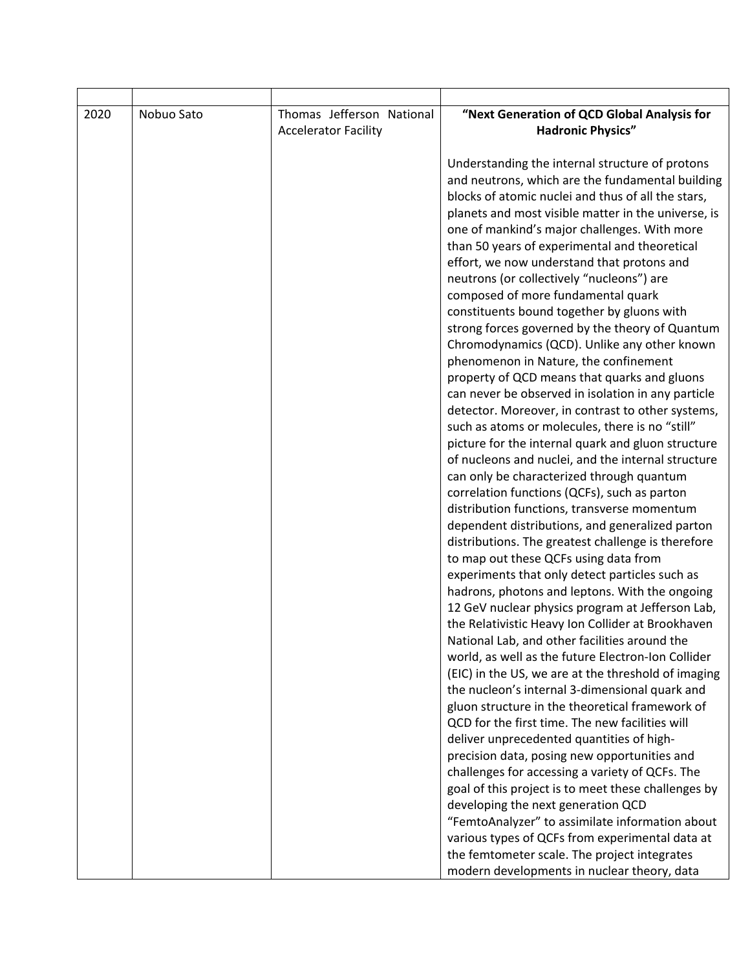| 2020 | Nobuo Sato | Thomas Jefferson National   | "Next Generation of QCD Global Analysis for                                               |
|------|------------|-----------------------------|-------------------------------------------------------------------------------------------|
|      |            | <b>Accelerator Facility</b> | <b>Hadronic Physics"</b>                                                                  |
|      |            |                             |                                                                                           |
|      |            |                             | Understanding the internal structure of protons                                           |
|      |            |                             | and neutrons, which are the fundamental building                                          |
|      |            |                             | blocks of atomic nuclei and thus of all the stars,                                        |
|      |            |                             | planets and most visible matter in the universe, is                                       |
|      |            |                             | one of mankind's major challenges. With more                                              |
|      |            |                             | than 50 years of experimental and theoretical                                             |
|      |            |                             | effort, we now understand that protons and                                                |
|      |            |                             | neutrons (or collectively "nucleons") are                                                 |
|      |            |                             | composed of more fundamental quark                                                        |
|      |            |                             | constituents bound together by gluons with                                                |
|      |            |                             | strong forces governed by the theory of Quantum                                           |
|      |            |                             | Chromodynamics (QCD). Unlike any other known                                              |
|      |            |                             | phenomenon in Nature, the confinement                                                     |
|      |            |                             | property of QCD means that quarks and gluons                                              |
|      |            |                             | can never be observed in isolation in any particle                                        |
|      |            |                             | detector. Moreover, in contrast to other systems,                                         |
|      |            |                             | such as atoms or molecules, there is no "still"                                           |
|      |            |                             | picture for the internal quark and gluon structure                                        |
|      |            |                             | of nucleons and nuclei, and the internal structure                                        |
|      |            |                             | can only be characterized through quantum                                                 |
|      |            |                             | correlation functions (QCFs), such as parton                                              |
|      |            |                             | distribution functions, transverse momentum                                               |
|      |            |                             | dependent distributions, and generalized parton                                           |
|      |            |                             | distributions. The greatest challenge is therefore                                        |
|      |            |                             | to map out these QCFs using data from                                                     |
|      |            |                             | experiments that only detect particles such as                                            |
|      |            |                             | hadrons, photons and leptons. With the ongoing                                            |
|      |            |                             | 12 GeV nuclear physics program at Jefferson Lab,                                          |
|      |            |                             | the Relativistic Heavy Ion Collider at Brookhaven                                         |
|      |            |                             | National Lab, and other facilities around the                                             |
|      |            |                             | world, as well as the future Electron-Ion Collider                                        |
|      |            |                             | (EIC) in the US, we are at the threshold of imaging                                       |
|      |            |                             | the nucleon's internal 3-dimensional quark and                                            |
|      |            |                             | gluon structure in the theoretical framework of                                           |
|      |            |                             | QCD for the first time. The new facilities will                                           |
|      |            |                             | deliver unprecedented quantities of high-                                                 |
|      |            |                             | precision data, posing new opportunities and                                              |
|      |            |                             | challenges for accessing a variety of QCFs. The                                           |
|      |            |                             |                                                                                           |
|      |            |                             | goal of this project is to meet these challenges by<br>developing the next generation QCD |
|      |            |                             | "FemtoAnalyzer" to assimilate information about                                           |
|      |            |                             |                                                                                           |
|      |            |                             | various types of QCFs from experimental data at                                           |
|      |            |                             | the femtometer scale. The project integrates                                              |
|      |            |                             | modern developments in nuclear theory, data                                               |